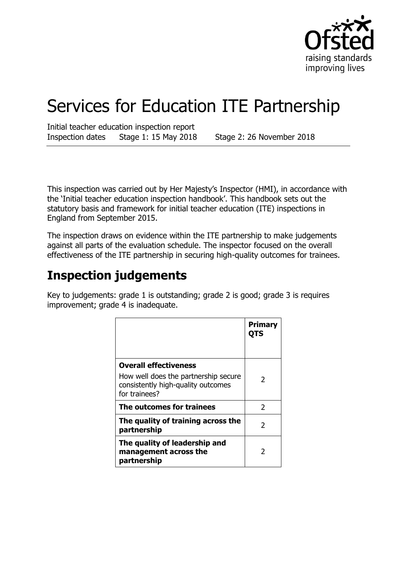

# Services for Education ITE Partnership

Initial teacher education inspection report Inspection dates Stage 1: 15 May 2018 Stage 2: 26 November 2018

This inspection was carried out by Her Majesty's Inspector (HMI), in accordance with the 'Initial teacher education inspection handbook'. This handbook sets out the statutory basis and framework for initial teacher education (ITE) inspections in England from September 2015.

The inspection draws on evidence within the ITE partnership to make judgements against all parts of the evaluation schedule. The inspector focused on the overall effectiveness of the ITE partnership in securing high-quality outcomes for trainees.

## **Inspection judgements**

Key to judgements: grade 1 is outstanding; grade 2 is good; grade 3 is requires improvement; grade 4 is inadequate.

|                                                                                                                             | <b>Primary</b><br>OTS |
|-----------------------------------------------------------------------------------------------------------------------------|-----------------------|
| <b>Overall effectiveness</b><br>How well does the partnership secure<br>consistently high-quality outcomes<br>for trainees? | 2                     |
| The outcomes for trainees                                                                                                   | $\mathcal{P}$         |
| The quality of training across the<br>partnership                                                                           | 2                     |
| The quality of leadership and<br>management across the<br>partnership                                                       | 2                     |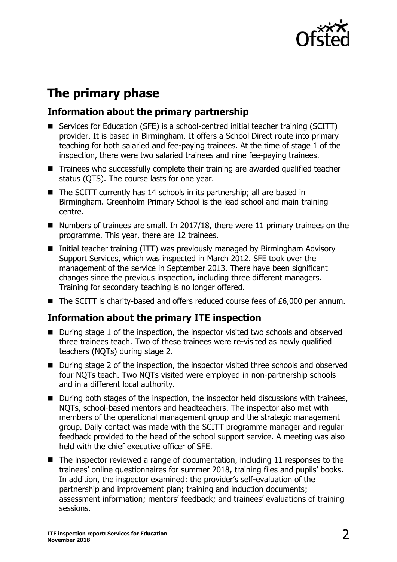

## **The primary phase**

## **Information about the primary partnership**

- Services for Education (SFE) is a school-centred initial teacher training (SCITT) provider. It is based in Birmingham. It offers a School Direct route into primary teaching for both salaried and fee-paying trainees. At the time of stage 1 of the inspection, there were two salaried trainees and nine fee-paying trainees.
- Trainees who successfully complete their training are awarded qualified teacher status (QTS). The course lasts for one year.
- The SCITT currently has 14 schools in its partnership; all are based in Birmingham. Greenholm Primary School is the lead school and main training centre.
- Numbers of trainees are small. In 2017/18, there were 11 primary trainees on the programme. This year, there are 12 trainees.
- Initial teacher training (ITT) was previously managed by Birmingham Advisory Support Services, which was inspected in March 2012. SFE took over the management of the service in September 2013. There have been significant changes since the previous inspection, including three different managers. Training for secondary teaching is no longer offered.
- The SCITT is charity-based and offers reduced course fees of £6,000 per annum.

## **Information about the primary ITE inspection**

- During stage 1 of the inspection, the inspector visited two schools and observed three trainees teach. Two of these trainees were re-visited as newly qualified teachers (NQTs) during stage 2.
- During stage 2 of the inspection, the inspector visited three schools and observed four NQTs teach. Two NQTs visited were employed in non-partnership schools and in a different local authority.
- During both stages of the inspection, the inspector held discussions with trainees, NQTs, school-based mentors and headteachers. The inspector also met with members of the operational management group and the strategic management group. Daily contact was made with the SCITT programme manager and regular feedback provided to the head of the school support service. A meeting was also held with the chief executive officer of SFE.
- $\blacksquare$  The inspector reviewed a range of documentation, including 11 responses to the trainees' online questionnaires for summer 2018, training files and pupils' books. In addition, the inspector examined: the provider's self-evaluation of the partnership and improvement plan; training and induction documents; assessment information; mentors' feedback; and trainees' evaluations of training sessions.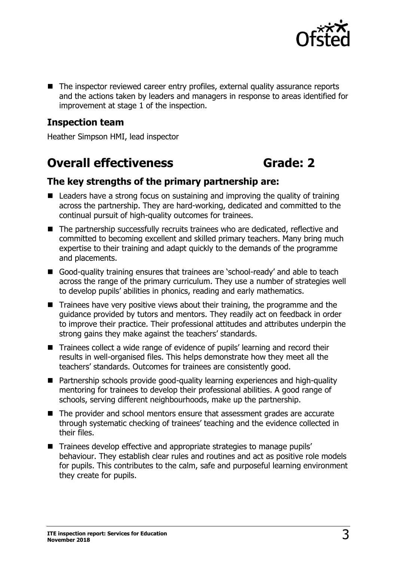

■ The inspector reviewed career entry profiles, external quality assurance reports and the actions taken by leaders and managers in response to areas identified for improvement at stage 1 of the inspection.

### **Inspection team**

Heather Simpson HMI, lead inspector

## **Overall effectiveness <b>Grade:** 2

### **The key strengths of the primary partnership are:**

- Leaders have a strong focus on sustaining and improving the quality of training across the partnership. They are hard-working, dedicated and committed to the continual pursuit of high-quality outcomes for trainees.
- The partnership successfully recruits trainees who are dedicated, reflective and committed to becoming excellent and skilled primary teachers. Many bring much expertise to their training and adapt quickly to the demands of the programme and placements.
- Good-quality training ensures that trainees are 'school-ready' and able to teach across the range of the primary curriculum. They use a number of strategies well to develop pupils' abilities in phonics, reading and early mathematics.
- $\blacksquare$  Trainees have very positive views about their training, the programme and the guidance provided by tutors and mentors. They readily act on feedback in order to improve their practice. Their professional attitudes and attributes underpin the strong gains they make against the teachers' standards.
- Trainees collect a wide range of evidence of pupils' learning and record their results in well-organised files. This helps demonstrate how they meet all the teachers' standards. Outcomes for trainees are consistently good.
- Partnership schools provide good-quality learning experiences and high-quality mentoring for trainees to develop their professional abilities. A good range of schools, serving different neighbourhoods, make up the partnership.
- The provider and school mentors ensure that assessment grades are accurate through systematic checking of trainees' teaching and the evidence collected in their files.
- Trainees develop effective and appropriate strategies to manage pupils' behaviour. They establish clear rules and routines and act as positive role models for pupils. This contributes to the calm, safe and purposeful learning environment they create for pupils.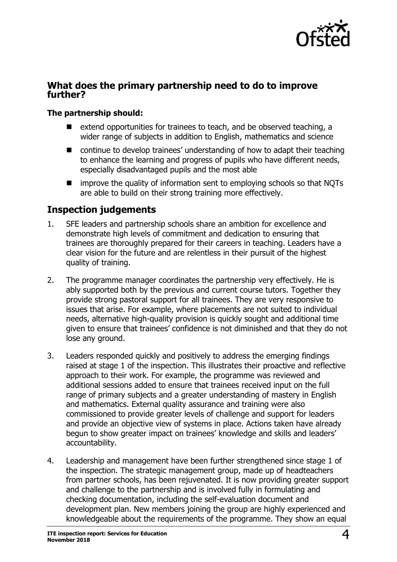

### **What does the primary partnership need to do to improve further?**

### **The partnership should:**

- extend opportunities for trainees to teach, and be observed teaching, a wider range of subjects in addition to English, mathematics and science
- continue to develop trainees' understanding of how to adapt their teaching to enhance the learning and progress of pupils who have different needs, especially disadvantaged pupils and the most able
- $\blacksquare$  improve the quality of information sent to employing schools so that NQTs are able to build on their strong training more effectively.

## **Inspection judgements**

- 1. SFE leaders and partnership schools share an ambition for excellence and demonstrate high levels of commitment and dedication to ensuring that trainees are thoroughly prepared for their careers in teaching. Leaders have a clear vision for the future and are relentless in their pursuit of the highest quality of training.
- 2. The programme manager coordinates the partnership very effectively. He is ably supported both by the previous and current course tutors. Together they provide strong pastoral support for all trainees. They are very responsive to issues that arise. For example, where placements are not suited to individual needs, alternative high-quality provision is quickly sought and additional time given to ensure that trainees' confidence is not diminished and that they do not lose any ground.
- 3. Leaders responded quickly and positively to address the emerging findings raised at stage 1 of the inspection. This illustrates their proactive and reflective approach to their work. For example, the programme was reviewed and additional sessions added to ensure that trainees received input on the full range of primary subjects and a greater understanding of mastery in English and mathematics. External quality assurance and training were also commissioned to provide greater levels of challenge and support for leaders and provide an objective view of systems in place. Actions taken have already begun to show greater impact on trainees' knowledge and skills and leaders' accountability.
- 4. Leadership and management have been further strengthened since stage 1 of the inspection. The strategic management group, made up of headteachers from partner schools, has been rejuvenated. It is now providing greater support and challenge to the partnership and is involved fully in formulating and checking documentation, including the self-evaluation document and development plan. New members joining the group are highly experienced and knowledgeable about the requirements of the programme. They show an equal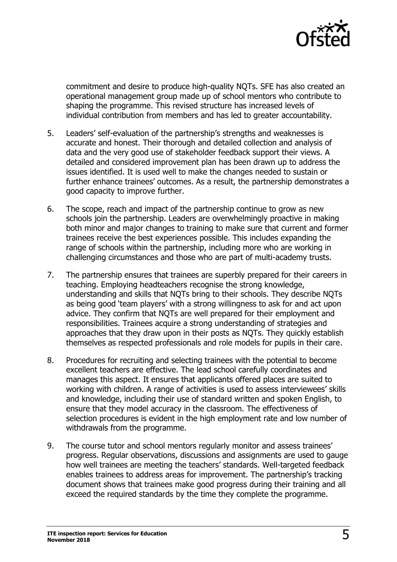

commitment and desire to produce high-quality NQTs. SFE has also created an operational management group made up of school mentors who contribute to shaping the programme. This revised structure has increased levels of individual contribution from members and has led to greater accountability.

- 5. Leaders' self-evaluation of the partnership's strengths and weaknesses is accurate and honest. Their thorough and detailed collection and analysis of data and the very good use of stakeholder feedback support their views. A detailed and considered improvement plan has been drawn up to address the issues identified. It is used well to make the changes needed to sustain or further enhance trainees' outcomes. As a result, the partnership demonstrates a good capacity to improve further.
- 6. The scope, reach and impact of the partnership continue to grow as new schools join the partnership. Leaders are overwhelmingly proactive in making both minor and major changes to training to make sure that current and former trainees receive the best experiences possible. This includes expanding the range of schools within the partnership, including more who are working in challenging circumstances and those who are part of multi-academy trusts.
- 7. The partnership ensures that trainees are superbly prepared for their careers in teaching. Employing headteachers recognise the strong knowledge, understanding and skills that NQTs bring to their schools. They describe NQTs as being good 'team players' with a strong willingness to ask for and act upon advice. They confirm that NQTs are well prepared for their employment and responsibilities. Trainees acquire a strong understanding of strategies and approaches that they draw upon in their posts as NQTs. They quickly establish themselves as respected professionals and role models for pupils in their care.
- 8. Procedures for recruiting and selecting trainees with the potential to become excellent teachers are effective. The lead school carefully coordinates and manages this aspect. It ensures that applicants offered places are suited to working with children. A range of activities is used to assess interviewees' skills and knowledge, including their use of standard written and spoken English, to ensure that they model accuracy in the classroom. The effectiveness of selection procedures is evident in the high employment rate and low number of withdrawals from the programme.
- 9. The course tutor and school mentors regularly monitor and assess trainees' progress. Regular observations, discussions and assignments are used to gauge how well trainees are meeting the teachers' standards. Well-targeted feedback enables trainees to address areas for improvement. The partnership's tracking document shows that trainees make good progress during their training and all exceed the required standards by the time they complete the programme.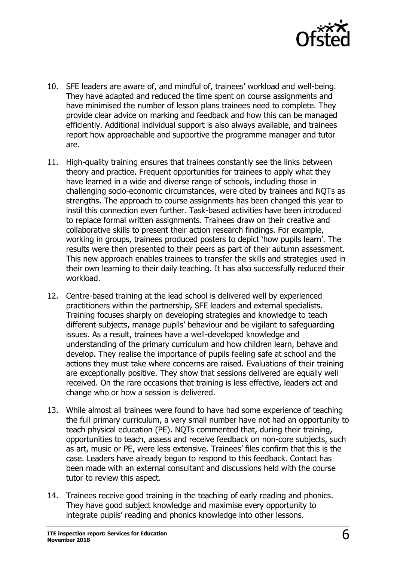

- 10. SFE leaders are aware of, and mindful of, trainees' workload and well-being. They have adapted and reduced the time spent on course assignments and have minimised the number of lesson plans trainees need to complete. They provide clear advice on marking and feedback and how this can be managed efficiently. Additional individual support is also always available, and trainees report how approachable and supportive the programme manager and tutor are.
- 11. High-quality training ensures that trainees constantly see the links between theory and practice. Frequent opportunities for trainees to apply what they have learned in a wide and diverse range of schools, including those in challenging socio-economic circumstances, were cited by trainees and NQTs as strengths. The approach to course assignments has been changed this year to instil this connection even further. Task-based activities have been introduced to replace formal written assignments. Trainees draw on their creative and collaborative skills to present their action research findings. For example, working in groups, trainees produced posters to depict 'how pupils learn'. The results were then presented to their peers as part of their autumn assessment. This new approach enables trainees to transfer the skills and strategies used in their own learning to their daily teaching. It has also successfully reduced their workload.
- 12. Centre-based training at the lead school is delivered well by experienced practitioners within the partnership, SFE leaders and external specialists. Training focuses sharply on developing strategies and knowledge to teach different subjects, manage pupils' behaviour and be vigilant to safeguarding issues. As a result, trainees have a well-developed knowledge and understanding of the primary curriculum and how children learn, behave and develop. They realise the importance of pupils feeling safe at school and the actions they must take where concerns are raised. Evaluations of their training are exceptionally positive. They show that sessions delivered are equally well received. On the rare occasions that training is less effective, leaders act and change who or how a session is delivered.
- 13. While almost all trainees were found to have had some experience of teaching the full primary curriculum, a very small number have not had an opportunity to teach physical education (PE). NQTs commented that, during their training, opportunities to teach, assess and receive feedback on non-core subjects, such as art, music or PE, were less extensive. Trainees' files confirm that this is the case. Leaders have already begun to respond to this feedback. Contact has been made with an external consultant and discussions held with the course tutor to review this aspect.
- 14. Trainees receive good training in the teaching of early reading and phonics. They have good subject knowledge and maximise every opportunity to integrate pupils' reading and phonics knowledge into other lessons.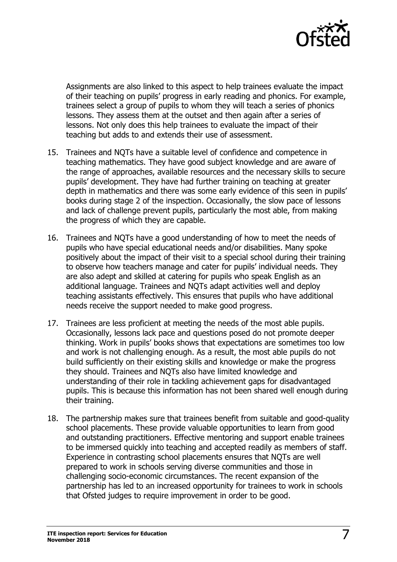

Assignments are also linked to this aspect to help trainees evaluate the impact of their teaching on pupils' progress in early reading and phonics. For example, trainees select a group of pupils to whom they will teach a series of phonics lessons. They assess them at the outset and then again after a series of lessons. Not only does this help trainees to evaluate the impact of their teaching but adds to and extends their use of assessment.

- 15. Trainees and NQTs have a suitable level of confidence and competence in teaching mathematics. They have good subject knowledge and are aware of the range of approaches, available resources and the necessary skills to secure pupils' development. They have had further training on teaching at greater depth in mathematics and there was some early evidence of this seen in pupils' books during stage 2 of the inspection. Occasionally, the slow pace of lessons and lack of challenge prevent pupils, particularly the most able, from making the progress of which they are capable.
- 16. Trainees and NQTs have a good understanding of how to meet the needs of pupils who have special educational needs and/or disabilities. Many spoke positively about the impact of their visit to a special school during their training to observe how teachers manage and cater for pupils' individual needs. They are also adept and skilled at catering for pupils who speak English as an additional language. Trainees and NQTs adapt activities well and deploy teaching assistants effectively. This ensures that pupils who have additional needs receive the support needed to make good progress.
- 17. Trainees are less proficient at meeting the needs of the most able pupils. Occasionally, lessons lack pace and questions posed do not promote deeper thinking. Work in pupils' books shows that expectations are sometimes too low and work is not challenging enough. As a result, the most able pupils do not build sufficiently on their existing skills and knowledge or make the progress they should. Trainees and NQTs also have limited knowledge and understanding of their role in tackling achievement gaps for disadvantaged pupils. This is because this information has not been shared well enough during their training.
- 18. The partnership makes sure that trainees benefit from suitable and good-quality school placements. These provide valuable opportunities to learn from good and outstanding practitioners. Effective mentoring and support enable trainees to be immersed quickly into teaching and accepted readily as members of staff. Experience in contrasting school placements ensures that NQTs are well prepared to work in schools serving diverse communities and those in challenging socio-economic circumstances. The recent expansion of the partnership has led to an increased opportunity for trainees to work in schools that Ofsted judges to require improvement in order to be good.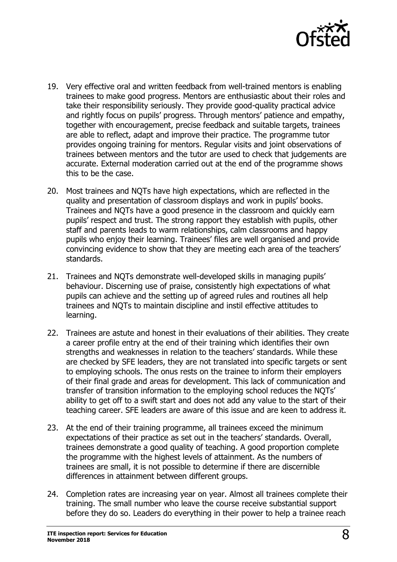

- 19. Very effective oral and written feedback from well-trained mentors is enabling trainees to make good progress. Mentors are enthusiastic about their roles and take their responsibility seriously. They provide good-quality practical advice and rightly focus on pupils' progress. Through mentors' patience and empathy, together with encouragement, precise feedback and suitable targets, trainees are able to reflect, adapt and improve their practice. The programme tutor provides ongoing training for mentors. Regular visits and joint observations of trainees between mentors and the tutor are used to check that judgements are accurate. External moderation carried out at the end of the programme shows this to be the case.
- 20. Most trainees and NQTs have high expectations, which are reflected in the quality and presentation of classroom displays and work in pupils' books. Trainees and NQTs have a good presence in the classroom and quickly earn pupils' respect and trust. The strong rapport they establish with pupils, other staff and parents leads to warm relationships, calm classrooms and happy pupils who enjoy their learning. Trainees' files are well organised and provide convincing evidence to show that they are meeting each area of the teachers' standards.
- 21. Trainees and NQTs demonstrate well-developed skills in managing pupils' behaviour. Discerning use of praise, consistently high expectations of what pupils can achieve and the setting up of agreed rules and routines all help trainees and NQTs to maintain discipline and instil effective attitudes to learning.
- 22. Trainees are astute and honest in their evaluations of their abilities. They create a career profile entry at the end of their training which identifies their own strengths and weaknesses in relation to the teachers' standards. While these are checked by SFE leaders, they are not translated into specific targets or sent to employing schools. The onus rests on the trainee to inform their employers of their final grade and areas for development. This lack of communication and transfer of transition information to the employing school reduces the NQTs' ability to get off to a swift start and does not add any value to the start of their teaching career. SFE leaders are aware of this issue and are keen to address it.
- 23. At the end of their training programme, all trainees exceed the minimum expectations of their practice as set out in the teachers' standards. Overall, trainees demonstrate a good quality of teaching. A good proportion complete the programme with the highest levels of attainment. As the numbers of trainees are small, it is not possible to determine if there are discernible differences in attainment between different groups.
- 24. Completion rates are increasing year on year. Almost all trainees complete their training. The small number who leave the course receive substantial support before they do so. Leaders do everything in their power to help a trainee reach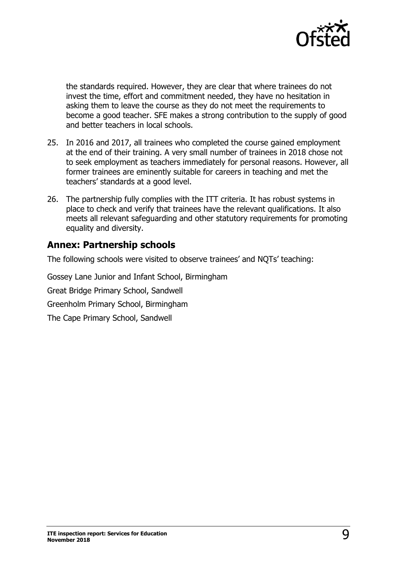

the standards required. However, they are clear that where trainees do not invest the time, effort and commitment needed, they have no hesitation in asking them to leave the course as they do not meet the requirements to become a good teacher. SFE makes a strong contribution to the supply of good and better teachers in local schools.

- 25. In 2016 and 2017, all trainees who completed the course gained employment at the end of their training. A very small number of trainees in 2018 chose not to seek employment as teachers immediately for personal reasons. However, all former trainees are eminently suitable for careers in teaching and met the teachers' standards at a good level.
- 26. The partnership fully complies with the ITT criteria. It has robust systems in place to check and verify that trainees have the relevant qualifications. It also meets all relevant safeguarding and other statutory requirements for promoting equality and diversity.

## **Annex: Partnership schools**

The following schools were visited to observe trainees' and NQTs' teaching:

Gossey Lane Junior and Infant School, Birmingham Great Bridge Primary School, Sandwell Greenholm Primary School, Birmingham The Cape Primary School, Sandwell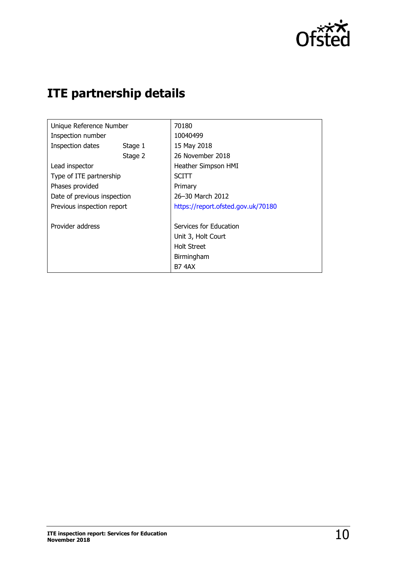

## **ITE partnership details**

| Unique Reference Number     |         | 70180                              |  |
|-----------------------------|---------|------------------------------------|--|
| Inspection number           |         | 10040499                           |  |
| Inspection dates            | Stage 1 | 15 May 2018                        |  |
|                             | Stage 2 | 26 November 2018                   |  |
| Lead inspector              |         | Heather Simpson HMI                |  |
| Type of ITE partnership     |         | <b>SCITT</b>                       |  |
| Phases provided             |         | Primary                            |  |
| Date of previous inspection |         | 26-30 March 2012                   |  |
| Previous inspection report  |         | https://report.ofsted.gov.uk/70180 |  |
|                             |         |                                    |  |
| Provider address            |         | Services for Education             |  |
|                             |         | Unit 3, Holt Court                 |  |
|                             |         | <b>Holt Street</b>                 |  |
|                             |         | Birmingham                         |  |
|                             |         | <b>B7 4AX</b>                      |  |